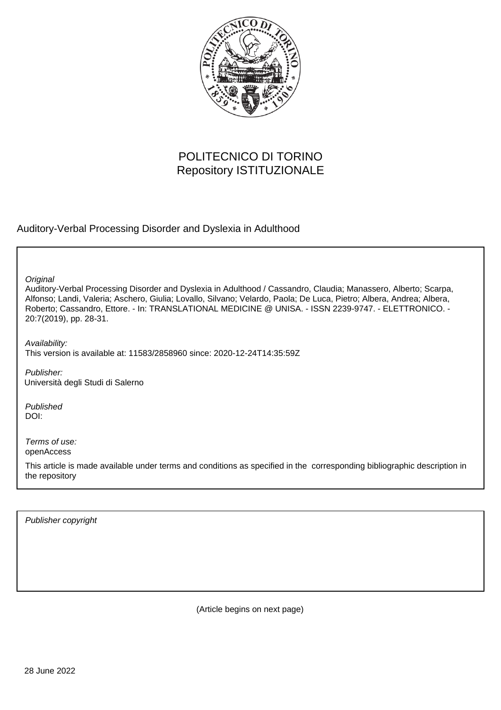

# POLITECNICO DI TORINO Repository ISTITUZIONALE

## Auditory-Verbal Processing Disorder and Dyslexia in Adulthood

**Original** 

Auditory-Verbal Processing Disorder and Dyslexia in Adulthood / Cassandro, Claudia; Manassero, Alberto; Scarpa, Alfonso; Landi, Valeria; Aschero, Giulia; Lovallo, Silvano; Velardo, Paola; De Luca, Pietro; Albera, Andrea; Albera, Roberto; Cassandro, Ettore. - In: TRANSLATIONAL MEDICINE @ UNISA. - ISSN 2239-9747. - ELETTRONICO. - 20:7(2019), pp. 28-31.

Availability: This version is available at: 11583/2858960 since: 2020-12-24T14:35:59Z

Publisher: Università degli Studi di Salerno

Published DOI:

Terms of use: openAccess

This article is made available under terms and conditions as specified in the corresponding bibliographic description in the repository

Publisher copyright

(Article begins on next page)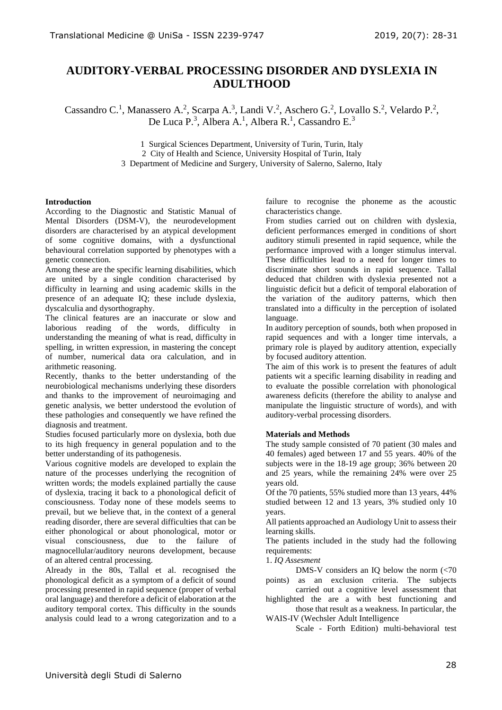## **AUDITORY-VERBAL PROCESSING DISORDER AND DYSLEXIA IN ADULTHOOD**

Cassandro C.<sup>1</sup>, Manassero A.<sup>2</sup>, Scarpa A.<sup>3</sup>, Landi V.<sup>2</sup>, Aschero G.<sup>2</sup>, Lovallo S.<sup>2</sup>, Velardo P.<sup>2</sup>, De Luca P.<sup>3</sup>, Albera A.<sup>1</sup>, Albera R.<sup>1</sup>, Cassandro E.<sup>3</sup>

1 Surgical Sciences Department, University of Turin, Turin, Italy

2 City of Health and Science, University Hospital of Turin, Italy

3 Department of Medicine and Surgery, University of Salerno, Salerno, Italy

## **Introduction**

According to the Diagnostic and Statistic Manual of Mental Disorders (DSM-V), the neurodevelopment disorders are characterised by an atypical development of some cognitive domains, with a dysfunctional behavioural correlation supported by phenotypes with a genetic connection.

Among these are the specific learning disabilities, which are united by a single condition characterised by difficulty in learning and using academic skills in the presence of an adequate IQ; these include dyslexia, dyscalculia and dysorthography.

The clinical features are an inaccurate or slow and laborious reading of the words, difficulty in understanding the meaning of what is read, difficulty in spelling, in written expression, in mastering the concept of number, numerical data ora calculation, and in arithmetic reasoning.

Recently, thanks to the better understanding of the neurobiological mechanisms underlying these disorders and thanks to the improvement of neuroimaging and genetic analysis, we better understood the evolution of these pathologies and consequently we have refined the diagnosis and treatment.

Studies focused particularly more on dyslexia, both due to its high frequency in general population and to the better understanding of its pathogenesis.

Various cognitive models are developed to explain the nature of the processes underlying the recognition of written words; the models explained partially the cause of dyslexia, tracing it back to a phonological deficit of consciousness. Today none of these models seems to prevail, but we believe that, in the context of a general reading disorder, there are several difficulties that can be either phonological or about phonological, motor or visual consciousness, due to the failure of magnocellular/auditory neurons development, because of an altered central processing.

Already in the 80s, Tallal et al. recognised the phonological deficit as a symptom of a deficit of sound processing presented in rapid sequence (proper of verbal oral language) and therefore a deficit of elaboration at the auditory temporal cortex. This difficulty in the sounds analysis could lead to a wrong categorization and to a failure to recognise the phoneme as the acoustic characteristics change.

From studies carried out on children with dyslexia, deficient performances emerged in conditions of short auditory stimuli presented in rapid sequence, while the performance improved with a longer stimulus interval. These difficulties lead to a need for longer times to discriminate short sounds in rapid sequence. Tallal deduced that children with dyslexia presented not a linguistic deficit but a deficit of temporal elaboration of the variation of the auditory patterns, which then translated into a difficulty in the perception of isolated language.

In auditory perception of sounds, both when proposed in rapid sequences and with a longer time intervals, a primary role is played by auditory attention, expecially by focused auditory attention.

The aim of this work is to present the features of adult patients wit a specific learning disability in reading and to evaluate the possible correlation with phonological awareness deficits (therefore the ability to analyse and manipulate the linguistic structure of words), and with auditory-verbal processing disorders.

## **Materials and Methods**

The study sample consisted of 70 patient (30 males and 40 females) aged between 17 and 55 years. 40% of the subjects were in the 18-19 age group; 36% between 20 and 25 years, while the remaining 24% were over 25 years old.

Of the 70 patients, 55% studied more than 13 years, 44% studied between 12 and 13 years, 3% studied only 10 years.

All patients approached an Audiology Unit to assess their learning skills.

The patients included in the study had the following requirements:

1. *IQ Assesment*

DMS-V considers an IQ below the norm (<70 points) as an exclusion criteria. The subjects

carried out a cognitive level assessment that highlighted the are a with best functioning and

those that result as a weakness. In particular, the WAIS-IV (Wechsler Adult Intelligence

Scale - Forth Edition) multi-behavioral test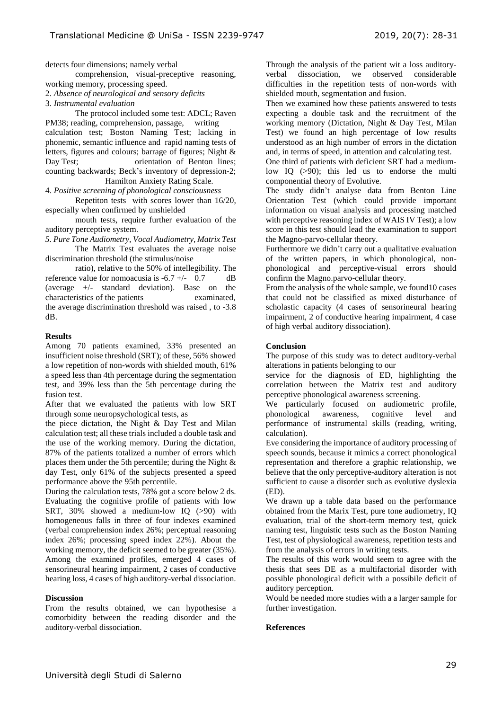detects four dimensions; namely verbal

comprehension, visual-preceptive reasoning, working memory, processing speed.

2. *Absence of neurological and sensory deficits*

3. *Instrumental evaluation*

The protocol included some test: ADCL; Raven PM38; reading, comprehension, passage, writing calculation test; Boston Naming Test; lacking in phonemic, semantic influence and rapid naming tests of letters, figures and colours; barrage of figures; Night & Day Test; orientation of Benton lines; counting backwards; Beck's inventory of depression-2;

Hamilton Anxiety Rating Scale.

4. *Positive screening of phonological consciousness* Repetiton tests with scores lower than 16/20, especially when confirmed by unshielded

mouth tests, require further evaluation of the auditory perceptive system.

*5. Pure Tone Audiometry, Vocal Audiometry, Matrix Test* The Matrix Test evaluates the average noise discrimination threshold (the stimulus/noise

ratio), relative to the 50% of intellegibility. The reference value for nomoacusia is  $-6.7 +/-$  0.7 dB (average +/- standard deviation). Base on the characteristics of the patients examinated, the average discrimination threshold was raised , to -3.8 dB.

### **Results**

Among 70 patients examined, 33% presented an insufficient noise threshold (SRT); of these, 56% showed a low repetition of non-words with shielded mouth, 61% a speed less than 4th percentage during the segmentation test, and 39% less than the 5th percentage during the fusion test.

After that we evaluated the patients with low SRT through some neuropsychological tests, as

the piece dictation, the Night & Day Test and Milan calculation test; all these trials included a double task and the use of the working memory. During the dictation, 87% of the patients totalized a number of errors which places them under the 5th percentile; during the Night & day Test, only 61% of the subjects presented a speed performance above the 95th percentile.

During the calculation tests, 78% got a score below 2 ds. Evaluating the cognitive profile of patients with low SRT, 30% showed a medium-low IQ (>90) with homogeneous falls in three of four indexes examined (verbal comprehension index 26%; perceptual reasoning index 26%; processing speed index 22%). About the working memory, the deficit seemed to be greater (35%). Among the examined profiles, emerged 4 cases of sensorineural hearing impairment, 2 cases of conductive hearing loss, 4 cases of high auditory-verbal dissociation.

#### **Discussion**

From the results obtained, we can hypothesise a comorbidity between the reading disorder and the auditory-verbal dissociation.

Through the analysis of the patient wit a loss auditoryverbal dissociation, we observed considerable difficulties in the repetition tests of non-words with shielded mouth, segmentation and fusion.

Then we examined how these patients answered to tests expecting a double task and the recruitment of the working memory (Dictation, Night & Day Test, Milan Test) we found an high percentage of low results understood as an high number of errors in the dictation and, in terms of speed, in attention and calculating test.

One third of patients with deficient SRT had a mediumlow IQ (>90); this led us to endorse the multi componential theory of Evolutive.

The study didn't analyse data from Benton Line Orientation Test (which could provide important information on visual analysis and processing matched with perceptive reasoning index of WAIS IV Test); a low score in this test should lead the examination to support the Magno-parvo-cellular theory.

Furthermore we didn't carry out a qualitative evaluation of the written papers, in which phonological, nonphonological and perceptive-visual errors should confirm the Magno.parvo-cellular theory.

From the analysis of the whole sample, we found10 cases that could not be classified as mixed disturbance of scholastic capacity (4 cases of sensorineural hearing impairment, 2 of conductive hearing impairment, 4 case of high verbal auditory dissociation).

### **Conclusion**

The purpose of this study was to detect auditory-verbal alterations in patients belonging to our

service for the diagnosis of ED, highlighting the correlation between the Matrix test and auditory perceptive phonological awareness screening.

We particularly focused on audiometric profile, phonological awareness, cognitive level and performance of instrumental skills (reading, writing, calculation).

Eve considering the importance of auditory processing of speech sounds, because it mimics a correct phonological representation and therefore a graphic relationship, we believe that the only perceptive-auditory alteration is not sufficient to cause a disorder such as evolutive dyslexia (ED).

We drawn up a table data based on the performance obtained from the Marix Test, pure tone audiometry, IQ evaluation, trial of the short-term memory test, quick naming test, linguistic tests such as the Boston Naming Test, test of physiological awareness, repetition tests and from the analysis of errors in writing tests.

The results of this work would seem to agree with the thesis that sees DE as a multifactorial disorder with possible phonological deficit with a possibile deficit of auditory perception.

Would be needed more studies with a a larger sample for further investigation.

#### **References**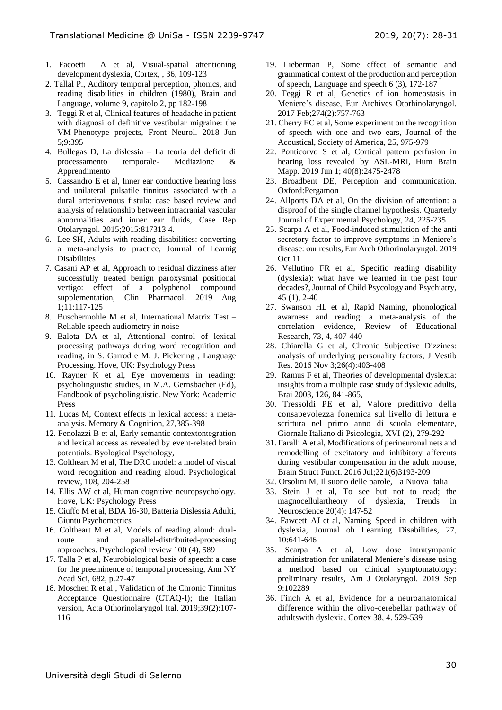- 1. Facoetti A et al, Visual-spatial attentioning development dyslexia, Cortex, , 36, 109-123
- 2. Tallal P., Auditory temporal perception, phonics, and reading disabilities in children (1980), Brain and Language, volume 9, capitolo 2, pp 182-198
- 3. Teggi R et al, Clinical features of headache in patient with diagnosi of definitive vestibular migraine: the VM-Phenotype projects, Front Neurol. 2018 Jun 5;9:395
- 4. Bullegas D, La dislessia La teoria del deficit di processamento temporale- Mediazione & Apprendimento
- 5. Cassandro E et al, Inner ear conductive hearing loss and unilateral pulsatile tinnitus associated with a dural arteriovenous fistula: case based review and analysis of relationship between intracranial vascular abnormalities and inner ear fluids, Case Rep Otolaryngol. 2015;2015:817313 4.
- 6. Lee SH, Adults with reading disabilities: converting a meta-analysis to practice, Journal of Learnig Disabilities
- 7. Casani AP et al, Approach to residual dizziness after successfully treated benign paroxysmal positional vertigo: effect of a polyphenol compound supplementation, Clin Pharmacol. 2019 Aug 1;11:117-125
- 8. Buschermohle M et al, International Matrix Test Reliable speech audiometry in noise
- 9. Balota DA et al, Attentional control of lexical processing pathways during word recognition and reading, in S. Garrod e M. J. Pickering , Language Processing. Hove, UK: Psychology Press
- 10. Rayner K et al, Eye movements in reading: psycholinguistic studies, in M.A. Gernsbacher (Ed), Handbook of psycholinguistic. New York: Academic Press
- 11. Lucas M, Context effects in lexical access: a metaanalysis. Memory & Cognition, 27,385-398
- 12. Penolazzi B et al, Early semantic contextontegration and lexical access as revealed by event-related brain potentials. Byological Psychology,
- 13. Coltheart M et al, The DRC model: a model of visual word recognition and reading aloud. Psychological review, 108, 204-258
- 14. Ellis AW et al, Human cognitive neuropsychology. Hove, UK: Psychology Press
- 15. Ciuffo M et al, BDA 16-30, Batteria Dislessia Adulti, Giuntu Psychometrics
- 16. Coltheart M et al, Models of reading aloud: dualroute and parallel-distribuited-processing approaches. Psychological review 100 (4), 589
- 17. Talla P et al, Neurobiological basis of speech: a case for the preeminence of temporal processing, Ann NY Acad Sci, 682, p.27-47
- 18. Moschen R et al., Validation of the Chronic Tinnitus Acceptance Questionnaire (CTAQ-I); the Italian version, Acta Othorinolaryngol Ital. 2019;39(2):107- 116
- 19. Lieberman P, Some effect of semantic and grammatical context of the production and perception of speech, Language and speech 6 (3), 172-187
- 20. Teggi R et al, Genetics of ion homeostasis in Meniere's disease, Eur Archives Otorhinolaryngol. 2017 Feb;274(2):757-763
- 21. Cherry EC et al, Some experiment on the recognition of speech with one and two ears, Journal of the Acoustical, Society of America, 25, 975-979
- 22. Ponticorvo S et al, Cortical pattern perfusion in hearing loss revealed by ASL-MRI, Hum Brain Mapp. 2019 Jun 1; 40(8):2475-2478
- 23. Broadbent DE, Perception and communication. Oxford:Pergamon
- 24. Allports DA et al, On the division of attention: a disproof of the single channel hypothesis. Quarterly Journal of Experimental Psychology, 24, 225-235
- 25. Scarpa A et al, Food-induced stimulation of the anti secretory factor to improve symptoms in Meniere's disease: our results, Eur Arch Othorinolaryngol. 2019 Oct 11
- 26. Vellutino FR et al, Specific reading disability (dyslexia): what have we learned in the past four decades?, Journal of Child Psycology and Psychiatry, 45 (1), 2-40
- 27. Swanson HL et al, Rapid Naming, phonological awarness and reading: a meta-analysis of the correlation evidence, Review of Educational Research, 73, 4, 407-440
- 28. Chiarella G et al, Chronic Subjective Dizzines: analysis of underlying personality factors, J Vestib Res. 2016 Nov 3;26(4):403-408
- 29. Ramus F et al, Theories of developmental dyslexia: insights from a multiple case study of dyslexic adults, Brai 2003, 126, 841-865,
- 30. Tressoldi PE et al, Valore predittivo della consapevolezza fonemica sul livello di lettura e scrittura nel primo anno di scuola elementare, Giornale Italiano di Psicologia, XVI (2), 279-292
- 31. Faralli A et al, Modifications of perineuronal nets and remodelling of excitatory and inhibitory afferents during vestibular compensation in the adult mouse, Brain Struct Funct. 2016 Jul;221(6)3193-209
- 32. Orsolini M, Il suono delle parole, La Nuova Italia
- 33. Stein J et al, To see but not to read; the magnocellulartheory of dyslexia, Trends in Neuroscience 20(4): 147-52
- 34. Fawcett AJ et al, Naming Speed in children with dyslexia, Journal oh Learning Disabilities, 27, 10:641-646
- 35. Scarpa A et al, Low dose intratympanic administration for unilateral Meniere's disease using a method based on clinical symptomatology: preliminary results, Am J Otolaryngol. 2019 Sep 9:102289
- 36. Finch A et al, Evidence for a neuroanatomical difference within the olivo-cerebellar pathway of adultswith dyslexia, Cortex 38, 4. 529-539